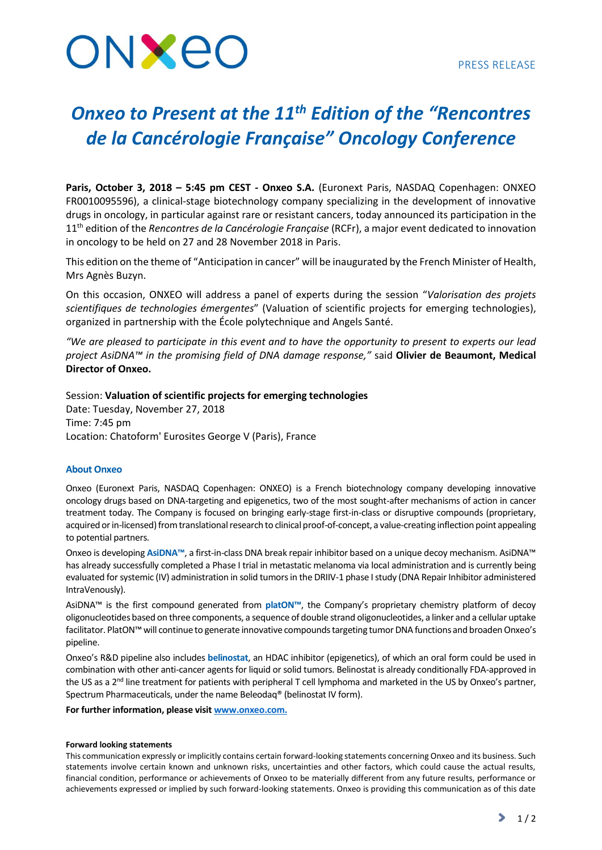# ONXEO

## *Onxeo to Present at the 11th Edition of the "Rencontres de la Cancérologie Française" Oncology Conference*

**Paris, October 3, 2018 – 5:45 pm CEST - Onxeo S.A.** (Euronext Paris, NASDAQ Copenhagen: ONXEO FR0010095596), a clinical-stage biotechnology company specializing in the development of innovative drugs in oncology, in particular against rare or resistant cancers, today announced its participation in the 11th edition of the *Rencontres de la Cancérologie Française* (RCFr), a major event dedicated to innovation in oncology to be held on 27 and 28 November 2018 in Paris.

This edition on the theme of "Anticipation in cancer" will be inaugurated by the French Minister of Health, Mrs Agnès Buzyn.

On this occasion, ONXEO will address a panel of experts during the session "*Valorisation des projets scientifiques de technologies émergentes*" (Valuation of scientific projects for emerging technologies), organized in partnership with the École polytechnique and Angels Santé.

*"We are pleased to participate in this event and to have the opportunity to present to experts our lead project AsiDNA™ in the promising field of DNA damage response,"* said **Olivier de Beaumont, Medical Director of Onxeo.**

## Session: **Valuation of scientific projects for emerging technologies**

Date: Tuesday, November 27, 2018 Time: 7:45 pm Location: Chatoform' Eurosites George V (Paris), France

### **About Onxeo**

Onxeo (Euronext Paris, NASDAQ Copenhagen: ONXEO) is a French biotechnology company developing innovative oncology drugs based on DNA-targeting and epigenetics, two of the most sought-after mechanisms of action in cancer treatment today. The Company is focused on bringing early-stage first-in-class or disruptive compounds (proprietary, acquired or in-licensed) from translational research to clinical proof-of-concept, a value-creating inflection point appealing to potential partners.

Onxeo is developing **AsiDNA™**, a first-in-class DNA break repair inhibitor based on a unique decoy mechanism. AsiDNA™ has already successfully completed a Phase I trial in metastatic melanoma via local administration and is currently being evaluated for systemic (IV) administration in solid tumors in the DRIIV-1 phase I study (DNA Repair Inhibitor administered IntraVenously).

AsiDNA™ is the first compound generated from **platON™**, the Company's proprietary chemistry platform of decoy oligonucleotides based on three components, a sequence of double strand oligonucleotides, a linker and a cellular uptake facilitator. PlatON™ will continue to generate innovative compounds targeting tumor DNA functions and broaden Onxeo's pipeline.

Onxeo's R&D pipeline also includes **belinostat**, an HDAC inhibitor (epigenetics), of which an oral form could be used in combination with other anti-cancer agents for liquid or solid tumors. Belinostat is already conditionally FDA-approved in the US as a 2<sup>nd</sup> line treatment for patients with peripheral T cell lymphoma and marketed in the US by Onxeo's partner, Spectrum Pharmaceuticals, under the name Beleodaq® (belinostat IV form).

#### **For further information, please visit [www.onxeo.com.](http://www.onxeo.com/)**

#### **Forward looking statements**

This communication expressly or implicitly contains certain forward-looking statements concerning Onxeo and its business. Such statements involve certain known and unknown risks, uncertainties and other factors, which could cause the actual results, financial condition, performance or achievements of Onxeo to be materially different from any future results, performance or achievements expressed or implied by such forward-looking statements. Onxeo is providing this communication as of this date